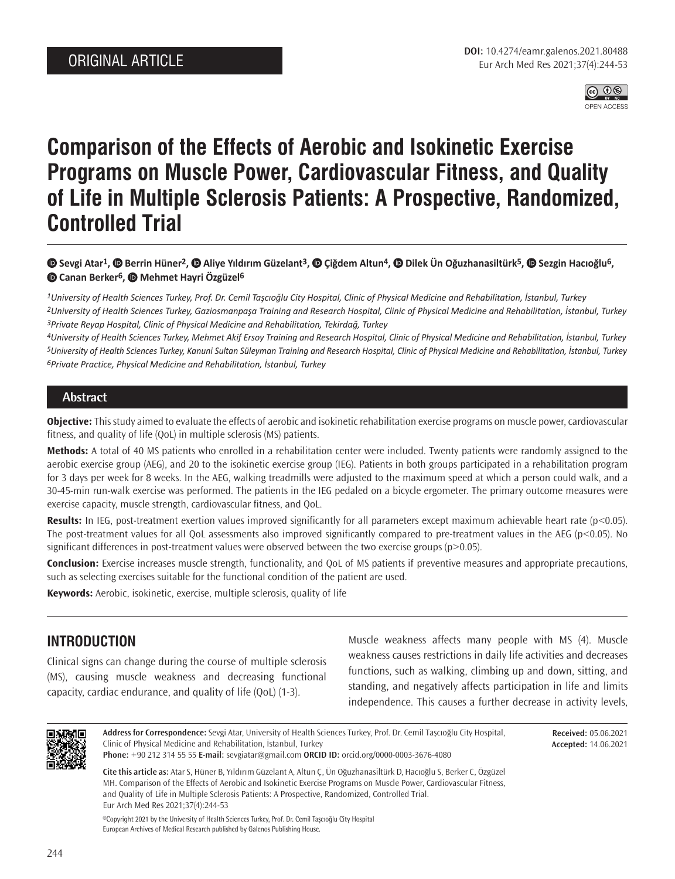

# **Comparison of the Effects of Aerobic and Isokinetic Exercise Programs on Muscle Power, Cardiovascular Fitness, and Quality of Life in Multiple Sclerosis Patients: A Prospective, Randomized, Controlled Trial**

# **Sevgi Atar1, Berrin Hüner2, Aliye Yıldırım Güzelant3, Çiğdem Altun4,Dilek Ün Oğuzhanasiltürk5,Sezgin Hacıoğlu6, Canan Berker6,Mehmet Hayri Özgüzel6**

*1University of Health Sciences Turkey, Prof. Dr. Cemil Taşcıoğlu City Hospital, Clinic of Physical Medicine and Rehabilitation, İstanbul, Turkey 2University of Health Sciences Turkey, Gaziosmanpaşa Training and Research Hospital, Clinic of Physical Medicine and Rehabilitation, İstanbul, Turkey 3Private Reyap Hospital, Clinic of Physical Medicine and Rehabilitation, Tekirdağ, Turkey*

*4University of Health Sciences Turkey, Mehmet Akif Ersoy Training and Research Hospital, Clinic of Physical Medicine and Rehabilitation, İstanbul, Turkey 5University of Health Sciences Turkey, Kanuni Sultan Süleyman Training and Research Hospital, Clinic of Physical Medicine and Rehabilitation, İstanbul, Turkey 6Private Practice, Physical Medicine and Rehabilitation, İstanbul, Turkey*

## **Abstract**

**Objective:** This study aimed to evaluate the effects of aerobic and isokinetic rehabilitation exercise programs on muscle power, cardiovascular fitness, and quality of life (QoL) in multiple sclerosis (MS) patients.

**Methods:** A total of 40 MS patients who enrolled in a rehabilitation center were included. Twenty patients were randomly assigned to the aerobic exercise group (AEG), and 20 to the isokinetic exercise group (IEG). Patients in both groups participated in a rehabilitation program for 3 days per week for 8 weeks. In the AEG, walking treadmills were adjusted to the maximum speed at which a person could walk, and a 30-45-min run-walk exercise was performed. The patients in the IEG pedaled on a bicycle ergometer. The primary outcome measures were exercise capacity, muscle strength, cardiovascular fitness, and QoL.

**Results:** In IEG, post-treatment exertion values improved significantly for all parameters except maximum achievable heart rate (p<0.05). The post-treatment values for all QoL assessments also improved significantly compared to pre-treatment values in the AEG (p<0.05). No significant differences in post-treatment values were observed between the two exercise groups (p>0.05).

**Conclusion:** Exercise increases muscle strength, functionality, and QoL of MS patients if preventive measures and appropriate precautions, such as selecting exercises suitable for the functional condition of the patient are used.

**Keywords:** Aerobic, isokinetic, exercise, multiple sclerosis, quality of life

# **INTRODUCTION**

Clinical signs can change during the course of multiple sclerosis (MS), causing muscle weakness and decreasing functional capacity, cardiac endurance, and quality of life (QoL) (1-3).

Muscle weakness affects many people with MS (4). Muscle weakness causes restrictions in daily life activities and decreases functions, such as walking, climbing up and down, sitting, and standing, and negatively affects participation in life and limits independence. This causes a further decrease in activity levels,



**Address for Correspondence:** Sevgi Atar, University of Health Sciences Turkey, Prof. Dr. Cemil Taşcıoğlu City Hospital, Clinic of Physical Medicine and Rehabilitation, İstanbul, Turkey

**Received:** 05.06.2021 **Accepted:** 14.06.2021

**Phone:** +90 212 314 55 55 **E-mail:** sevgiatar@gmail.com **ORCID ID:** orcid.org/0000-0003-3676-4080

**Cite this article as:** Atar S, Hüner B, Yıldırım Güzelant A, Altun Ç, Ün Oğuzhanasiltürk D, Hacıoğlu S, Berker C, Özgüzel MH. Comparison of the Effects of Aerobic and Isokinetic Exercise Programs on Muscle Power, Cardiovascular Fitness, and Quality of Life in Multiple Sclerosis Patients: A Prospective, Randomized, Controlled Trial. Eur Arch Med Res 2021;37(4):244-53

©Copyright 2021 by the University of Health Sciences Turkey, Prof. Dr. Cemil Taşcıoğlu City Hospital European Archives of Medical Research published by Galenos Publishing House.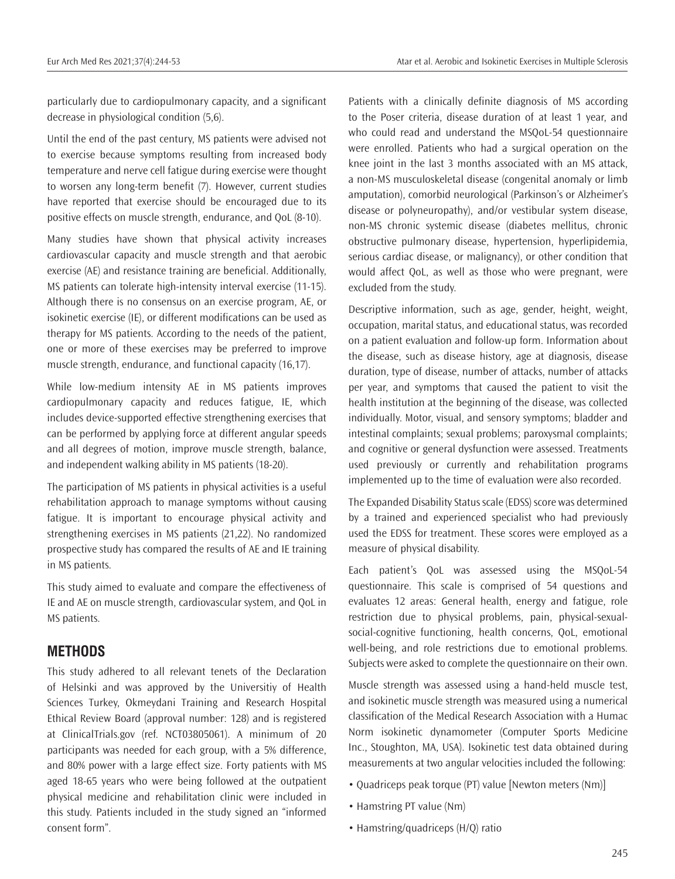particularly due to cardiopulmonary capacity, and a significant decrease in physiological condition (5,6).

Until the end of the past century, MS patients were advised not to exercise because symptoms resulting from increased body temperature and nerve cell fatigue during exercise were thought to worsen any long-term benefit (7). However, current studies have reported that exercise should be encouraged due to its positive effects on muscle strength, endurance, and QoL (8-10).

Many studies have shown that physical activity increases cardiovascular capacity and muscle strength and that aerobic exercise (AE) and resistance training are beneficial. Additionally, MS patients can tolerate high-intensity interval exercise (11-15). Although there is no consensus on an exercise program, AE, or isokinetic exercise (IE), or different modifications can be used as therapy for MS patients. According to the needs of the patient, one or more of these exercises may be preferred to improve muscle strength, endurance, and functional capacity (16,17).

While low-medium intensity AE in MS patients improves cardiopulmonary capacity and reduces fatigue, IE, which includes device-supported effective strengthening exercises that can be performed by applying force at different angular speeds and all degrees of motion, improve muscle strength, balance, and independent walking ability in MS patients (18-20).

The participation of MS patients in physical activities is a useful rehabilitation approach to manage symptoms without causing fatigue. It is important to encourage physical activity and strengthening exercises in MS patients (21,22). No randomized prospective study has compared the results of AE and IE training in MS patients.

This study aimed to evaluate and compare the effectiveness of IE and AE on muscle strength, cardiovascular system, and QoL in MS patients.

# **METHODS**

This study adhered to all relevant tenets of the Declaration of Helsinki and was approved by the Universitiy of Health Sciences Turkey, Okmeydani Training and Research Hospital Ethical Review Board (approval number: 128) and is registered at ClinicalTrials.gov (ref. NCT03805061). A minimum of 20 participants was needed for each group, with a 5% difference, and 80% power with a large effect size. Forty patients with MS aged 18-65 years who were being followed at the outpatient physical medicine and rehabilitation clinic were included in this study. Patients included in the study signed an "informed consent form".

Patients with a clinically definite diagnosis of MS according to the Poser criteria, disease duration of at least 1 year, and who could read and understand the MSQoL-54 questionnaire were enrolled. Patients who had a surgical operation on the knee joint in the last 3 months associated with an MS attack, a non-MS musculoskeletal disease (congenital anomaly or limb amputation), comorbid neurological (Parkinson's or Alzheimer's disease or polyneuropathy), and/or vestibular system disease, non-MS chronic systemic disease (diabetes mellitus, chronic obstructive pulmonary disease, hypertension, hyperlipidemia, serious cardiac disease, or malignancy), or other condition that would affect QoL, as well as those who were pregnant, were excluded from the study.

Descriptive information, such as age, gender, height, weight, occupation, marital status, and educational status, was recorded on a patient evaluation and follow-up form. Information about the disease, such as disease history, age at diagnosis, disease duration, type of disease, number of attacks, number of attacks per year, and symptoms that caused the patient to visit the health institution at the beginning of the disease, was collected individually. Motor, visual, and sensory symptoms; bladder and intestinal complaints; sexual problems; paroxysmal complaints; and cognitive or general dysfunction were assessed. Treatments used previously or currently and rehabilitation programs implemented up to the time of evaluation were also recorded.

The Expanded Disability Status scale (EDSS) score was determined by a trained and experienced specialist who had previously used the EDSS for treatment. These scores were employed as a measure of physical disability.

Each patient's QoL was assessed using the MSQoL-54 questionnaire. This scale is comprised of 54 questions and evaluates 12 areas: General health, energy and fatigue, role restriction due to physical problems, pain, physical-sexualsocial-cognitive functioning, health concerns, QoL, emotional well-being, and role restrictions due to emotional problems. Subjects were asked to complete the questionnaire on their own.

Muscle strength was assessed using a hand-held muscle test, and isokinetic muscle strength was measured using a numerical classification of the Medical Research Association with a Humac Norm isokinetic dynamometer (Computer Sports Medicine Inc., Stoughton, MA, USA). Isokinetic test data obtained during measurements at two angular velocities included the following:

- Quadriceps peak torque (PT) value [Newton meters (Nm)]
- Hamstring PT value (Nm)
- Hamstring/quadriceps (H/Q) ratio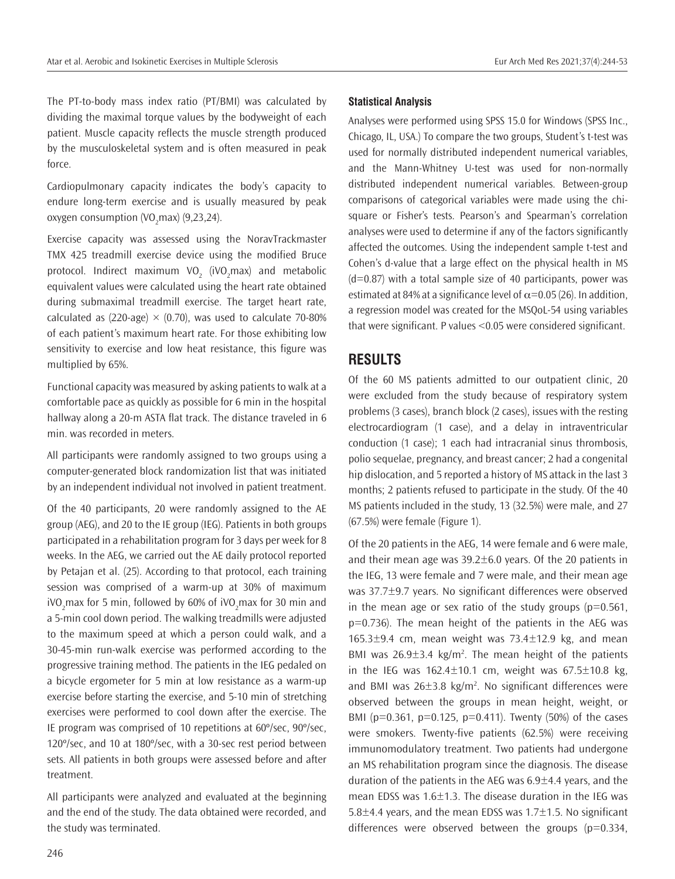The PT-to-body mass index ratio (PT/BMI) was calculated by dividing the maximal torque values by the bodyweight of each patient. Muscle capacity reflects the muscle strength produced by the musculoskeletal system and is often measured in peak force.

Cardiopulmonary capacity indicates the body's capacity to endure long-term exercise and is usually measured by peak oxygen consumption (VO<sub>2</sub>max) (9,23,24).

Exercise capacity was assessed using the NoravTrackmaster TMX 425 treadmill exercise device using the modified Bruce protocol. Indirect maximum VO<sub>2</sub> (iVO<sub>2</sub>max) and metabolic equivalent values were calculated using the heart rate obtained during submaximal treadmill exercise. The target heart rate, calculated as (220-age)  $\times$  (0.70), was used to calculate 70-80% of each patient's maximum heart rate. For those exhibiting low sensitivity to exercise and low heat resistance, this figure was multiplied by 65%.

Functional capacity was measured by asking patients to walk at a comfortable pace as quickly as possible for 6 min in the hospital hallway along a 20-m ASTA flat track. The distance traveled in 6 min. was recorded in meters.

All participants were randomly assigned to two groups using a computer-generated block randomization list that was initiated by an independent individual not involved in patient treatment.

Of the 40 participants, 20 were randomly assigned to the AE group (AEG), and 20 to the IE group (IEG). Patients in both groups participated in a rehabilitation program for 3 days per week for 8 weeks. In the AEG, we carried out the AE daily protocol reported by Petajan et al. (25). According to that protocol, each training session was comprised of a warm-up at 30% of maximum iVO<sub>2</sub>max for 5 min, followed by 60% of iVO<sub>2</sub>max for 30 min and a 5-min cool down period. The walking treadmills were adjusted to the maximum speed at which a person could walk, and a 30-45-min run-walk exercise was performed according to the progressive training method. The patients in the IEG pedaled on a bicycle ergometer for 5 min at low resistance as a warm-up exercise before starting the exercise, and 5-10 min of stretching exercises were performed to cool down after the exercise. The IE program was comprised of 10 repetitions at 60º/sec, 90º/sec, 120º/sec, and 10 at 180º/sec, with a 30-sec rest period between sets. All patients in both groups were assessed before and after treatment.

All participants were analyzed and evaluated at the beginning and the end of the study. The data obtained were recorded, and the study was terminated.

#### **Statistical Analysis**

Analyses were performed using SPSS 15.0 for Windows (SPSS Inc., Chicago, IL, USA.) To compare the two groups, Student's t-test was used for normally distributed independent numerical variables, and the Mann-Whitney U-test was used for non-normally distributed independent numerical variables. Between-group comparisons of categorical variables were made using the chisquare or Fisher's tests. Pearson's and Spearman's correlation analyses were used to determine if any of the factors significantly affected the outcomes. Using the independent sample t-test and Cohen's d-value that a large effect on the physical health in MS  $(d=0.87)$  with a total sample size of 40 participants, power was estimated at 84% at a significance level of  $\alpha$ =0.05 (26). In addition, a regression model was created for the MSQoL-54 using variables that were significant. P values <0.05 were considered significant.

# **RESULTS**

Of the 60 MS patients admitted to our outpatient clinic, 20 were excluded from the study because of respiratory system problems (3 cases), branch block (2 cases), issues with the resting electrocardiogram (1 case), and a delay in intraventricular conduction (1 case); 1 each had intracranial sinus thrombosis, polio sequelae, pregnancy, and breast cancer; 2 had a congenital hip dislocation, and 5 reported a history of MS attack in the last 3 months; 2 patients refused to participate in the study. Of the 40 MS patients included in the study, 13 (32.5%) were male, and 27 (67.5%) were female (Figure 1).

Of the 20 patients in the AEG, 14 were female and 6 were male, and their mean age was  $39.2 \pm 6.0$  years. Of the 20 patients in the IEG, 13 were female and 7 were male, and their mean age was 37.7±9.7 years. No significant differences were observed in the mean age or sex ratio of the study groups ( $p=0.561$ , p=0.736). The mean height of the patients in the AEG was  $165.3\pm9.4$  cm, mean weight was  $73.4\pm12.9$  kg, and mean BMI was  $26.9 \pm 3.4$  kg/m<sup>2</sup>. The mean height of the patients in the IEG was  $162.4 \pm 10.1$  cm, weight was  $67.5 \pm 10.8$  kg, and BMI was  $26\pm3.8$  kg/m<sup>2</sup>. No significant differences were observed between the groups in mean height, weight, or BMI ( $p=0.361$ ,  $p=0.125$ ,  $p=0.411$ ). Twenty (50%) of the cases were smokers. Twenty-five patients (62.5%) were receiving immunomodulatory treatment. Two patients had undergone an MS rehabilitation program since the diagnosis. The disease duration of the patients in the AEG was  $6.9\pm4.4$  years, and the mean EDSS was 1.6±1.3. The disease duration in the IEG was 5.8 $\pm$ 4.4 years, and the mean EDSS was 1.7 $\pm$ 1.5. No significant differences were observed between the groups ( $p=0.334$ ,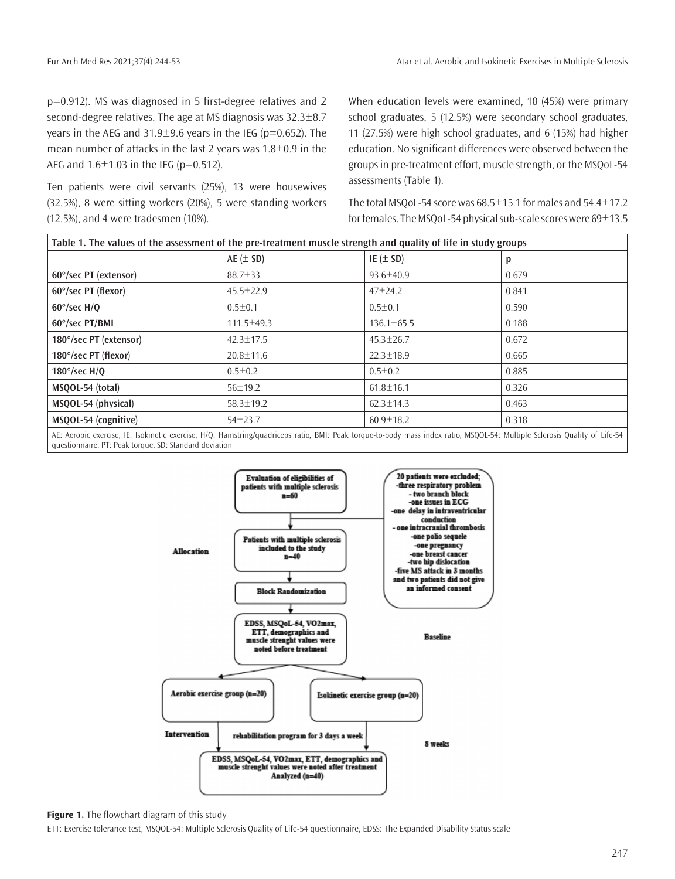p=0.912). MS was diagnosed in 5 first-degree relatives and 2 second-degree relatives. The age at MS diagnosis was 32.3±8.7 years in the AEG and  $31.9\pm9.6$  years in the IEG (p=0.652). The mean number of attacks in the last 2 years was 1.8±0.9 in the AEG and  $1.6 \pm 1.03$  in the IEG (p=0.512).

Ten patients were civil servants (25%), 13 were housewives (32.5%), 8 were sitting workers (20%), 5 were standing workers (12.5%), and 4 were tradesmen (10%).

When education levels were examined, 18 (45%) were primary school graduates, 5 (12.5%) were secondary school graduates, 11 (27.5%) were high school graduates, and 6 (15%) had higher education. No significant differences were observed between the groups in pre-treatment effort, muscle strength, or the MSQoL-54 assessments (Table 1).

The total MSQoL-54 score was  $68.5 \pm 15.1$  for males and  $54.4 \pm 17.2$ for females. The MSQoL-54 physical sub-scale scores were 69±13.5

| Table 1. The values of the assessment of the pre-treatment muscle strength and quality of life in study groups |                  |                  |       |  |
|----------------------------------------------------------------------------------------------------------------|------------------|------------------|-------|--|
|                                                                                                                | $AE (\pm SD)$    | IE $(\pm$ SD)    | р     |  |
| 60°/sec PT (extensor)                                                                                          | $88.7 \pm 33$    | $93.6 \pm 40.9$  | 0.679 |  |
| 60°/sec PT (flexor)                                                                                            | $45.5 \pm 22.9$  | $47 + 24.2$      | 0.841 |  |
| $60^{\circ}/sec$ H/O                                                                                           | $0.5 \pm 0.1$    | $0.5 \pm 0.1$    | 0.590 |  |
| 60°/sec PT/BMI                                                                                                 | $111.5 \pm 49.3$ | $136.1 \pm 65.5$ | 0.188 |  |
| 180°/sec PT (extensor)                                                                                         | $42.3 \pm 17.5$  | $45.3 \pm 26.7$  | 0.672 |  |
| 180°/sec PT (flexor)                                                                                           | $20.8 \pm 11.6$  | $22.3 \pm 18.9$  | 0.665 |  |
| $180^{\circ}/sec$ H/O                                                                                          | $0.5 \pm 0.2$    | $0.5 \pm 0.2$    | 0.885 |  |
| MSQOL-54 (total)                                                                                               | 56±19.2          | $61.8 \pm 16.1$  | 0.326 |  |
| MSQOL-54 (physical)                                                                                            | $58.3 \pm 19.2$  | $62.3 \pm 14.3$  | 0.463 |  |
| MSQOL-54 (cognitive)                                                                                           | $54 + 23.7$      | $60.9 \pm 18.2$  | 0.318 |  |

AE: Aerobic exercise, IE: Isokinetic exercise, H/Q: Hamstring/quadriceps ratio, BMI: Peak torque-to-body mass index ratio, MSQOL-54: Multiple Sclerosis Quality of Life-54 questionnaire, PT: Peak torque, SD: Standard deviation



**Figure 1.** The flowchart diagram of this study

ETT: Exercise tolerance test, MSQOL-54: Multiple Sclerosis Quality of Life-54 questionnaire, EDSS: The Expanded Disability Status scale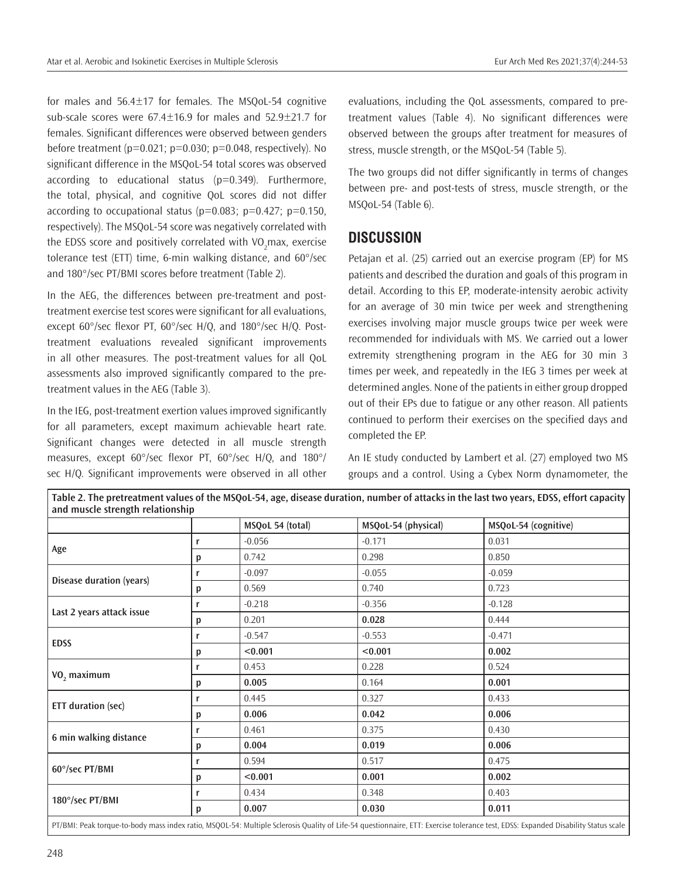for males and 56.4±17 for females. The MSQoL-54 cognitive sub-scale scores were  $67.4 \pm 16.9$  for males and  $52.9 \pm 21.7$  for females. Significant differences were observed between genders before treatment  $(p=0.021; p=0.030; p=0.048,$  respectively). No significant difference in the MSQoL-54 total scores was observed according to educational status (p=0.349). Furthermore, the total, physical, and cognitive QoL scores did not differ according to occupational status ( $p=0.083$ ;  $p=0.427$ ;  $p=0.150$ , respectively). The MSQoL-54 score was negatively correlated with the EDSS score and positively correlated with VO<sub>2</sub>max, exercise tolerance test (ETT) time, 6-min walking distance, and 60°/sec and 180°/sec PT/BMI scores before treatment (Table 2).

In the AEG, the differences between pre-treatment and posttreatment exercise test scores were significant for all evaluations, except 60°/sec flexor PT, 60°/sec H/Q, and 180°/sec H/Q. Posttreatment evaluations revealed significant improvements in all other measures. The post-treatment values for all QoL assessments also improved significantly compared to the pretreatment values in the AEG (Table 3).

In the IEG, post-treatment exertion values improved significantly for all parameters, except maximum achievable heart rate. Significant changes were detected in all muscle strength measures, except 60°/sec flexor PT, 60°/sec H/Q, and 180°/ sec H/Q. Significant improvements were observed in all other

evaluations, including the QoL assessments, compared to pretreatment values (Table 4). No significant differences were observed between the groups after treatment for measures of stress, muscle strength, or the MSQoL-54 (Table 5).

The two groups did not differ significantly in terms of changes between pre- and post-tests of stress, muscle strength, or the MSQoL-54 (Table 6).

# **DISCUSSION**

Petajan et al. (25) carried out an exercise program (EP) for MS patients and described the duration and goals of this program in detail. According to this EP, moderate-intensity aerobic activity for an average of 30 min twice per week and strengthening exercises involving major muscle groups twice per week were recommended for individuals with MS. We carried out a lower extremity strengthening program in the AEG for 30 min 3 times per week, and repeatedly in the IEG 3 times per week at determined angles. None of the patients in either group dropped out of their EPs due to fatigue or any other reason. All patients continued to perform their exercises on the specified days and completed the EP.

An IE study conducted by Lambert et al. (27) employed two MS groups and a control. Using a Cybex Norm dynamometer, the

|                                   |   | MSQoL 54 (total) | MSQoL-54 (physical) | MSQoL-54 (cognitive) |
|-----------------------------------|---|------------------|---------------------|----------------------|
|                                   | r | $-0.056$         | $-0.171$            | 0.031                |
| Age                               | p | 0.742            | 0.298               | 0.850                |
|                                   | r | $-0.097$         | $-0.055$            | $-0.059$             |
| Disease duration (years)          | p | 0.569            | 0.740               | 0.723                |
|                                   | r | $-0.218$         | $-0.356$            | $-0.128$             |
| Last 2 years attack issue         | p | 0.201            | 0.028               | 0.444                |
|                                   | r | $-0.547$         | $-0.553$            | $-0.471$             |
| <b>EDSS</b>                       | p | < 0.001          | < 0.001             | 0.002                |
| r<br>VO <sub>2</sub> maximum<br>p |   | 0.453            | 0.228               | 0.524                |
|                                   |   | 0.005            | 0.164               | 0.001                |
|                                   | r | 0.445            | 0.327               | 0.433                |
| <b>ETT</b> duration (sec)         | p | 0.006            | 0.042               | 0.006                |
|                                   | r | 0.461            | 0.375               | 0.430                |
| 6 min walking distance            | p | 0.004            | 0.019               | 0.006                |
| r<br>60°/sec PT/BMI<br>p          |   | 0.594            | 0.517               | 0.475                |
|                                   |   | < 0.001          | 0.001               | 0.002                |
|                                   | r | 0.434            | 0.348               | 0.403                |
| 180°/sec PT/BMI                   | p | 0.007            | 0.030               | 0.011                |

**Table 2. The pretreatment values of the MSQoL-54, age, disease duration, number of attacks in the last two years, EDSS, effort capacity and muscle strength relationship**

PT/BMI: Peak torque-to-body mass index ratio, MSQOL-54: Multiple Sclerosis Quality of Life-54 questionnaire, ETT: Exercise tolerance test, EDSS: Expanded Disability Status scale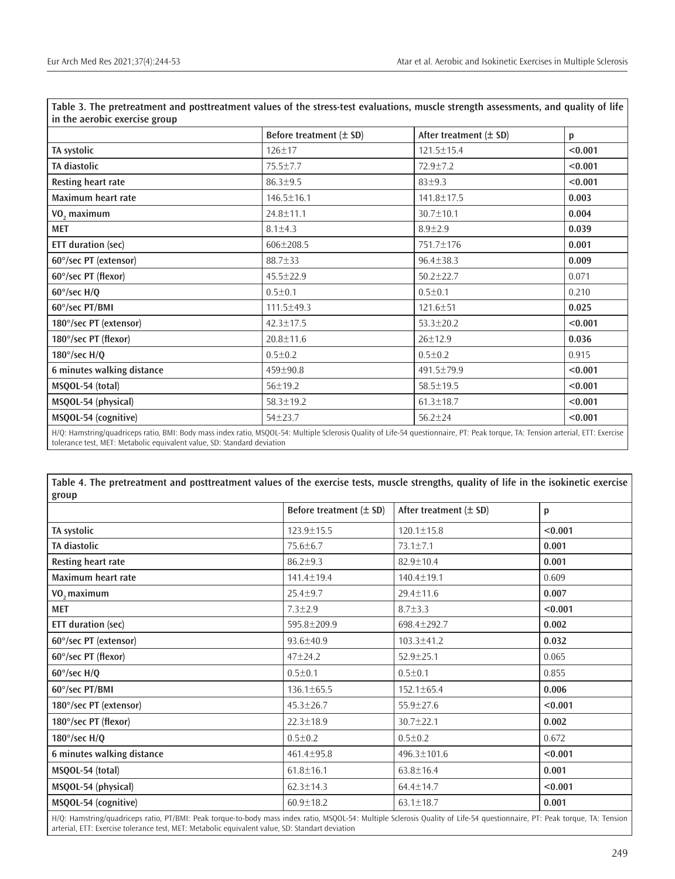|                            | Before treatment (± SD) | After treatment $(\pm$ SD) | p       |  |
|----------------------------|-------------------------|----------------------------|---------|--|
| TA systolic                | $126 \pm 17$            | $121.5 \pm 15.4$           | < 0.001 |  |
| TA diastolic               | 75.5±7.7                | 72.9±7.2                   | < 0.001 |  |
| Resting heart rate         | $86.3 \pm 9.5$          | $83 + 9.3$                 | < 0.001 |  |
| Maximum heart rate         | $146.5 \pm 16.1$        | 141.8±17.5                 | 0.003   |  |
| VO <sub>2</sub> maximum    | 24.8±11.1               | 30.7±10.1                  | 0.004   |  |
| <b>MET</b>                 | $8.1 \pm 4.3$           | $8.9 + 2.9$                | 0.039   |  |
| <b>ETT</b> duration (sec)  | $606 \pm 208.5$         | 751.7±176                  | 0.001   |  |
| 60°/sec PT (extensor)      | 88.7±33                 | $96.4 \pm 38.3$            | 0.009   |  |
| 60°/sec PT (flexor)        | $45.5 \pm 22.9$         | $50.2 \pm 22.7$            | 0.071   |  |
| $60^{\circ}/sec$ H/Q       | $0.5 + 0.1$             | $0.5 \pm 0.1$              | 0.210   |  |
| 60°/sec PT/BMI             | 111.5±49.3              | 121.6±51                   | 0.025   |  |
| 180°/sec PT (extensor)     | $42.3 \pm 17.5$         | $53.3 \pm 20.2$            | < 0.001 |  |
| 180°/sec PT (flexor)       | $20.8 \pm 11.6$         | $26 \pm 12.9$              | 0.036   |  |
| 180 $\degree$ /sec H/Q     | $0.5 \pm 0.2$           | $0.5 \pm 0.2$              | 0.915   |  |
| 6 minutes walking distance | 459±90.8                | 491.5±79.9                 | < 0.001 |  |
| MSQOL-54 (total)           | 56±19.2                 | 58.5±19.5                  | < 0.001 |  |
| MSQOL-54 (physical)        | 58.3±19.2               | $61.3 \pm 18.7$            | < 0.001 |  |
| MSQOL-54 (cognitive)       | $54 + 23.7$             | $56.2 \pm 24$              | < 0.001 |  |

**Table 3. The pretreatment and posttreatment values of the stress-test evaluations, muscle strength assessments, and quality of life** 

H/Q: Hamstring/quadriceps ratio, BMI: Body mass index ratio, MSQOL-54: Multiple Sclerosis Quality of Life-54 questionnaire, PT: Peak torque, TA: Tension arterial, ETT: Exercise tolerance test, MET: Metabolic equivalent value, SD: Standard deviation

**Table 4. The pretreatment and posttreatment values of the exercise tests, muscle strengths, quality of life in the isokinetic exercise** 

| group                      |                             |                            |         |  |
|----------------------------|-----------------------------|----------------------------|---------|--|
|                            | Before treatment $(\pm$ SD) | After treatment $(\pm$ SD) | p       |  |
| TA systolic                | 123.9±15.5                  | $120.1 \pm 15.8$           | < 0.001 |  |
| TA diastolic               | $75.6 \pm 6.7$              | $73.1 \pm 7.1$             | 0.001   |  |
| Resting heart rate         | $86.2 \pm 9.3$              | $82.9 \pm 10.4$            | 0.001   |  |
| Maximum heart rate         | 141.4±19.4                  | 140.4±19.1                 | 0.609   |  |
| VO <sub>2</sub> maximum    | $25.4 \pm 9.7$              | $29.4 \pm 11.6$            | 0.007   |  |
| <b>MET</b>                 | $7.3 \pm 2.9$               | $8.7 \pm 3.3$              | < 0.001 |  |
| <b>ETT</b> duration (sec)  | 595.8±209.9                 | 698.4±292.7                | 0.002   |  |
| 60°/sec PT (extensor)      | $93.6 \pm 40.9$             | 103.3±41.2                 | 0.032   |  |
| 60°/sec PT (flexor)        | $47 + 24.2$                 | $52.9 \pm 25.1$            | 0.065   |  |
| $60^{\circ}/sec$ H/Q       | $0.5 + 0.1$                 | $0.5 + 0.1$                | 0.855   |  |
| 60°/sec PT/BMI             | 136.1±65.5                  | 152.1±65.4                 | 0.006   |  |
| 180°/sec PT (extensor)     | $45.3 \pm 26.7$             | $55.9 \pm 27.6$            | < 0.001 |  |
| 180°/sec PT (flexor)       | $22.3 \pm 18.9$             | $30.7 \pm 22.1$            | 0.002   |  |
| 180 $\degree$ /sec H/Q     | $0.5 + 0.2$                 | $0.5 \pm 0.2$              | 0.672   |  |
| 6 minutes walking distance | 461.4±95.8                  | 496.3±101.6                | < 0.001 |  |
| MSQOL-54 (total)           | $61.8 \pm 16.1$             | $63.8 \pm 16.4$            | 0.001   |  |
| MSQOL-54 (physical)        | $62.3 \pm 14.3$             | $64.4 \pm 14.7$            | < 0.001 |  |
| MSQOL-54 (cognitive)       | $60.9 \pm 18.2$             | $63.1 \pm 18.7$            | 0.001   |  |

H/Q: Hamstring/quadriceps ratio, PT/BMI: Peak torque-to-body mass index ratio, MSQOL-54: Multiple Sclerosis Quality of Life-54 questionnaire, PT: Peak torque, TA: Tension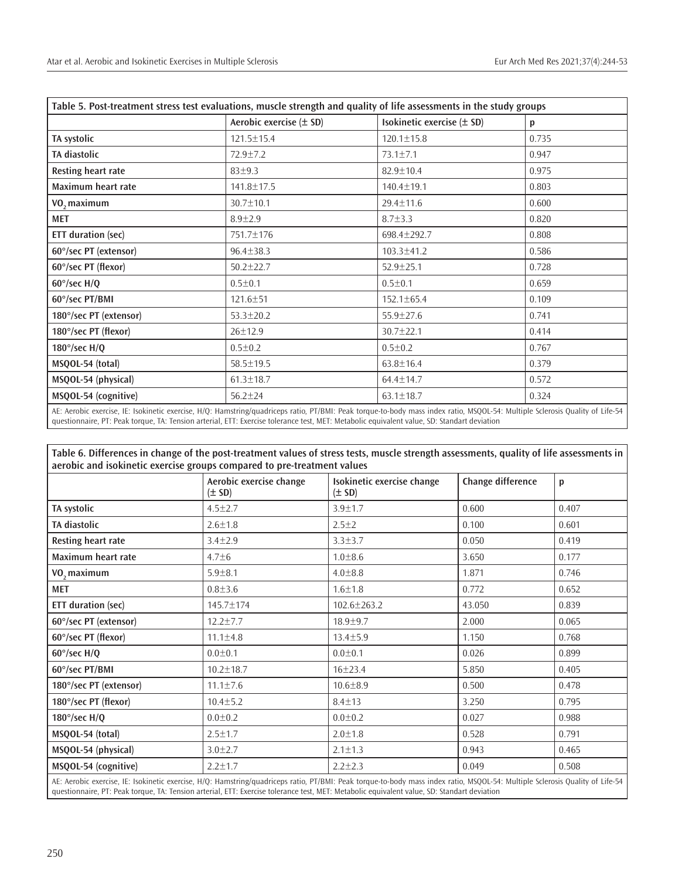| Table 5. Post-treatment stress test evaluations, muscle strength and quality of life assessments in the study groups |                             |                            |       |  |  |
|----------------------------------------------------------------------------------------------------------------------|-----------------------------|----------------------------|-------|--|--|
|                                                                                                                      | Aerobic exercise $(\pm$ SD) | Isokinetic exercise (± SD) | p     |  |  |
| TA systolic                                                                                                          | 121.5±15.4                  | $120.1 \pm 15.8$           | 0.735 |  |  |
| TA diastolic                                                                                                         | $72.9 \pm 7.2$              | $73.1 \pm 7.1$             | 0.947 |  |  |
| <b>Resting heart rate</b>                                                                                            | 83±9.3                      | 82.9±10.4                  | 0.975 |  |  |
| Maximum heart rate                                                                                                   | 141.8±17.5                  | $140.4 \pm 19.1$           | 0.803 |  |  |
| VO <sub>2</sub> maximum                                                                                              | 30.7±10.1                   | $29.4 \pm 11.6$            | 0.600 |  |  |
| <b>MET</b>                                                                                                           | $8.9 \pm 2.9$               | $8.7 \pm 3.3$              | 0.820 |  |  |
| <b>ETT duration (sec)</b>                                                                                            | 751.7±176                   | 698.4±292.7                | 0.808 |  |  |
| 60°/sec PT (extensor)                                                                                                | $96.4 \pm 38.3$             | $103.3 \pm 41.2$           | 0.586 |  |  |
| 60°/sec PT (flexor)                                                                                                  | $50.2 \pm 22.7$             | $52.9 \pm 25.1$            | 0.728 |  |  |
| $60^{\circ}/sec$ H/Q                                                                                                 | $0.5 \pm 0.1$               | $0.5 \pm 0.1$              | 0.659 |  |  |
| 60°/sec PT/BMI                                                                                                       | $121.6 \pm 51$              | $152.1 \pm 65.4$           | 0.109 |  |  |
| 180°/sec PT (extensor)                                                                                               | $53.3 \pm 20.2$             | $55.9 \pm 27.6$            | 0.741 |  |  |
| 180°/sec PT (flexor)                                                                                                 | 26±12.9                     | $30.7 \pm 22.1$            | 0.414 |  |  |
| $180^{\circ}/sec$ H/O                                                                                                | $0.5 \pm 0.2$               | $0.5 \pm 0.2$              | 0.767 |  |  |
| MSQOL-54 (total)                                                                                                     | 58.5±19.5                   | $63.8 \pm 16.4$            | 0.379 |  |  |
| MSQOL-54 (physical)                                                                                                  | $61.3 \pm 18.7$             | $64.4 \pm 14.7$            | 0.572 |  |  |
| MSQOL-54 (cognitive)                                                                                                 | $56.2 \pm 24$               | $63.1 \pm 18.7$            | 0.324 |  |  |

AE: Aerobic exercise, IE: Isokinetic exercise, H/Q: Hamstring/quadriceps ratio, PT/BMI: Peak torque-to-body mass index ratio, MSQOL-54: Multiple Sclerosis Quality of Life-54 questionnaire, PT: Peak torque, TA: Tension arterial, ETT: Exercise tolerance test, MET: Metabolic equivalent value, SD: Standart deviation

**Table 6. Differences in change of the post-treatment values of stress tests, muscle strength assessments, quality of life assessments in aerobic and isokinetic exercise groups compared to pre-treatment values**

|                           | Aerobic exercise change<br>$(\pm$ SD) | Isokinetic exercise change<br>$(\pm$ SD) | Change difference | p     |
|---------------------------|---------------------------------------|------------------------------------------|-------------------|-------|
| TA systolic               | $4.5 \pm 2.7$                         | $3.9 \pm 1.7$                            | 0.600             | 0.407 |
| TA diastolic              | $2.6 \pm 1.8$                         | $2.5 + 2$                                | 0.100             | 0.601 |
| Resting heart rate        | $3.4 \pm 2.9$                         | $3.3 \pm 3.7$                            | 0.050             | 0.419 |
| Maximum heart rate        | $4.7 + 6$                             | $1.0 \pm 8.6$                            | 3.650             | 0.177 |
| VO <sub>2</sub> maximum   | $5.9 + 8.1$                           | $4.0 \pm 8.8$                            | 1.871             | 0.746 |
| <b>MET</b>                | $0.8 + 3.6$                           | $1.6 \pm 1.8$                            | 0.772             | 0.652 |
| <b>ETT</b> duration (sec) | 145.7±174                             | $102.6 \pm 263.2$                        | 43.050            | 0.839 |
| 60°/sec PT (extensor)     | $12.2 \pm 7.7$                        | $18.9 \pm 9.7$                           | 2.000             | 0.065 |
| 60°/sec PT (flexor)       | $11.1 \pm 4.8$                        | $13.4 \pm 5.9$                           | 1.150             | 0.768 |
| $60^{\circ}/sec$ H/O      | $0.0 + 0.1$                           | $0.0 + 0.1$                              | 0.026             | 0.899 |
| 60°/sec PT/BMI            | $10.2 \pm 18.7$                       | 16±23.4                                  | 5.850             | 0.405 |
| 180°/sec PT (extensor)    | $11.1 \pm 7.6$                        | $10.6 \pm 8.9$                           | 0.500             | 0.478 |
| 180°/sec PT (flexor)      | $10.4 \pm 5.2$                        | $8.4 \pm 13$                             | 3.250             | 0.795 |
| $180^{\circ}/sec$ H/O     | $0.0 \pm 0.2$                         | $0.0 \pm 0.2$                            | 0.027             | 0.988 |
| MSQOL-54 (total)          | $2.5 \pm 1.7$                         | $2.0 \pm 1.8$                            | 0.528             | 0.791 |
| MSQOL-54 (physical)       | $3.0 \pm 2.7$                         | $2.1 \pm 1.3$                            | 0.943             | 0.465 |
| MSQOL-54 (cognitive)      | $2.2 \pm 1.7$                         | $2.2 + 2.3$                              | 0.049             | 0.508 |

AE: Aerobic exercise, IE: Isokinetic exercise, H/Q: Hamstring/quadriceps ratio, PT/BMI: Peak torque-to-body mass index ratio, MSQOL-54: Multiple Sclerosis Quality of Life-54 questionnaire, PT: Peak torque, TA: Tension arterial, ETT: Exercise tolerance test, MET: Metabolic equivalent value, SD: Standart deviation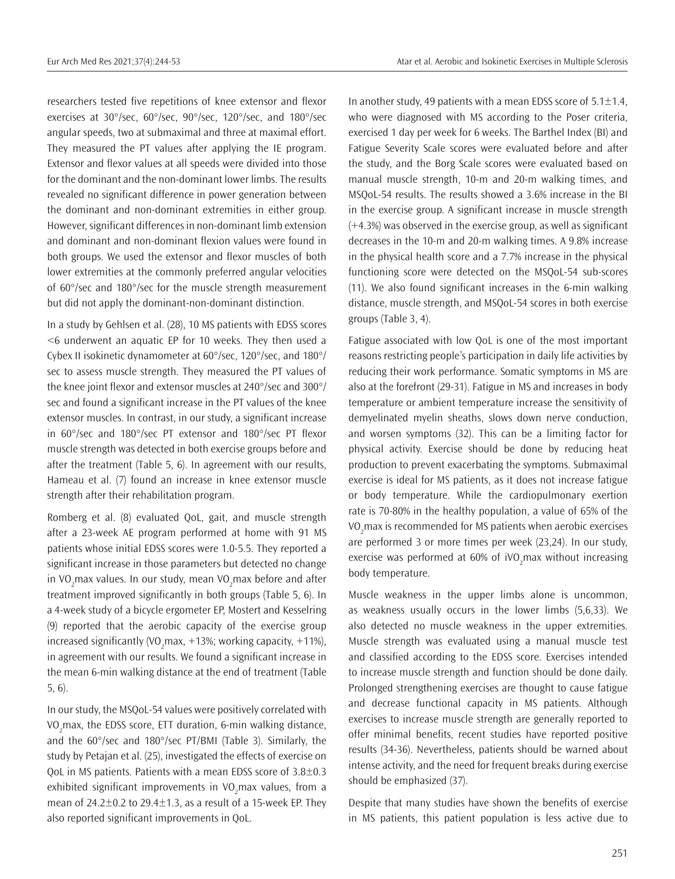researchers tested five repetitions of knee extensor and flexor exercises at 30°/sec, 60°/sec, 90°/sec, 120°/sec, and 180°/sec angular speeds, two at submaximal and three at maximal effort. They measured the PT values after applying the IE program. Extensor and flexor values at all speeds were divided into those for the dominant and the non-dominant lower limbs. The results revealed no significant difference in power generation between the dominant and non-dominant extremities in either group. However, significant differences in non-dominant limb extension and dominant and non-dominant flexion values were found in both groups. We used the extensor and flexor muscles of both lower extremities at the commonly preferred angular velocities of 60°/sec and 180°/sec for the muscle strength measurement but did not apply the dominant-non-dominant distinction.

In a study by Gehlsen et al. (28), 10 MS patients with EDSS scores <6 underwent an aquatic EP for 10 weeks. They then used a Cybex II isokinetic dynamometer at 60°/sec, 120°/sec, and 180°/ sec to assess muscle strength. They measured the PT values of the knee joint flexor and extensor muscles at 240°/sec and 300°/ sec and found a significant increase in the PT values of the knee extensor muscles. In contrast, in our study, a significant increase in 60°/sec and 180°/sec PT extensor and 180°/sec PT flexor muscle strength was detected in both exercise groups before and after the treatment (Table 5, 6). In agreement with our results, Hameau et al. (7) found an increase in knee extensor muscle strength after their rehabilitation program.

Romberg et al. (8) evaluated QoL, gait, and muscle strength after a 23-week AE program performed at home with 91 MS patients whose initial EDSS scores were 1.0-5.5. They reported a significant increase in those parameters but detected no change in VO<sub>2</sub>max values. In our study, mean VO<sub>2</sub>max before and after treatment improved significantly in both groups (Table 5, 6). In a 4-week study of a bicycle ergometer EP, Mostert and Kesselring (9) reported that the aerobic capacity of the exercise group increased significantly (VO<sub>2</sub>max, +13%; working capacity, +11%), in agreement with our results. We found a significant increase in the mean 6-min walking distance at the end of treatment (Table 5, 6).

In our study, the MSQoL-54 values were positively correlated with VO<sub>2</sub> max, the EDSS score, ETT duration, 6-min walking distance, and the 60°/sec and 180°/sec PT/BMI (Table 3). Similarly, the study by Petajan et al. (25), investigated the effects of exercise on QoL in MS patients. Patients with a mean EDSS score of 3.8±0.3 exhibited significant improvements in VO<sub>2</sub>max values, from a mean of  $24.2\pm0.2$  to  $29.4\pm1.3$ , as a result of a 15-week EP. They also reported significant improvements in QoL.

In another study, 49 patients with a mean EDSS score of  $5.1 \pm 1.4$ , who were diagnosed with MS according to the Poser criteria, exercised 1 day per week for 6 weeks. The Barthel Index (BI) and Fatigue Severity Scale scores were evaluated before and after the study, and the Borg Scale scores were evaluated based on manual muscle strength, 10-m and 20-m walking times, and MSQoL-54 results. The results showed a 3.6% increase in the BI in the exercise group. A significant increase in muscle strength (+4.3%) was observed in the exercise group, as well as significant decreases in the 10-m and 20-m walking times. A 9.8% increase in the physical health score and a 7.7% increase in the physical functioning score were detected on the MSQoL-54 sub-scores (11). We also found significant increases in the 6-min walking distance, muscle strength, and MSQoL-54 scores in both exercise groups (Table 3, 4).

Fatigue associated with low QoL is one of the most important reasons restricting people's participation in daily life activities by reducing their work performance. Somatic symptoms in MS are also at the forefront (29-31). Fatigue in MS and increases in body temperature or ambient temperature increase the sensitivity of demyelinated myelin sheaths, slows down nerve conduction, and worsen symptoms (32). This can be a limiting factor for physical activity. Exercise should be done by reducing heat production to prevent exacerbating the symptoms. Submaximal exercise is ideal for MS patients, as it does not increase fatigue or body temperature. While the cardiopulmonary exertion rate is 70-80% in the healthy population, a value of 65% of the VO<sub>2</sub>max is recommended for MS patients when aerobic exercises are performed 3 or more times per week (23,24). In our study, exercise was performed at 60% of  $\text{ivO}_2$ max without increasing body temperature.

Muscle weakness in the upper limbs alone is uncommon, as weakness usually occurs in the lower limbs (5,6,33). We also detected no muscle weakness in the upper extremities. Muscle strength was evaluated using a manual muscle test and classified according to the EDSS score. Exercises intended to increase muscle strength and function should be done daily. Prolonged strengthening exercises are thought to cause fatigue and decrease functional capacity in MS patients. Although exercises to increase muscle strength are generally reported to offer minimal benefits, recent studies have reported positive results (34-36). Nevertheless, patients should be warned about intense activity, and the need for frequent breaks during exercise should be emphasized (37).

Despite that many studies have shown the benefits of exercise in MS patients, this patient population is less active due to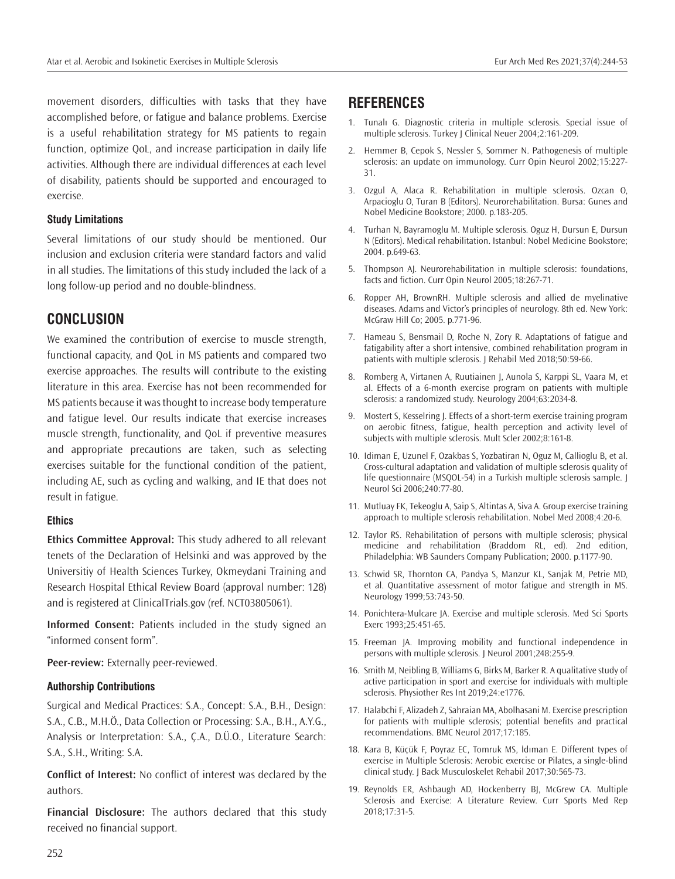movement disorders, difficulties with tasks that they have accomplished before, or fatigue and balance problems. Exercise is a useful rehabilitation strategy for MS patients to regain function, optimize QoL, and increase participation in daily life activities. Although there are individual differences at each level of disability, patients should be supported and encouraged to exercise.

## **Study Limitations**

Several limitations of our study should be mentioned. Our inclusion and exclusion criteria were standard factors and valid in all studies. The limitations of this study included the lack of a long follow-up period and no double-blindness.

# **CONCLUSION**

We examined the contribution of exercise to muscle strength, functional capacity, and QoL in MS patients and compared two exercise approaches. The results will contribute to the existing literature in this area. Exercise has not been recommended for MS patients because it was thought to increase body temperature and fatigue level. Our results indicate that exercise increases muscle strength, functionality, and QoL if preventive measures and appropriate precautions are taken, such as selecting exercises suitable for the functional condition of the patient, including AE, such as cycling and walking, and IE that does not result in fatigue.

## **Ethics**

**Ethics Committee Approval:** This study adhered to all relevant tenets of the Declaration of Helsinki and was approved by the Universitiy of Health Sciences Turkey, Okmeydani Training and Research Hospital Ethical Review Board (approval number: 128) and is registered at ClinicalTrials.gov (ref. NCT03805061).

**Informed Consent:** Patients included in the study signed an "informed consent form".

**Peer-review:** Externally peer-reviewed.

## **Authorship Contributions**

Surgical and Medical Practices: S.A., Concept: S.A., B.H., Design: S.A., C.B., M.H.Ö., Data Collection or Processing: S.A., B.H., A.Y.G., Analysis or Interpretation: S.A., Ç.A., D.Ü.O., Literature Search: S.A., S.H., Writing: S.A.

**Conflict of Interest:** No conflict of interest was declared by the authors.

**Financial Disclosure:** The authors declared that this study received no financial support.

# **REFERENCES**

- 1. Tunalı G. Diagnostic criteria in multiple sclerosis. Special issue of multiple sclerosis. Turkey J Clinical Neuer 2004;2:161-209.
- 2. Hemmer B, Cepok S, Nessler S, Sommer N. Pathogenesis of multiple sclerosis: an update on immunology. Curr Opin Neurol 2002;15:227- 31.
- 3. Ozgul A, Alaca R. Rehabilitation in multiple sclerosis. Ozcan O, Arpacioglu O, Turan B (Editors). Neurorehabilitation. Bursa: Gunes and Nobel Medicine Bookstore; 2000. p.183-205.
- 4. Turhan N, Bayramoglu M. Multiple sclerosis. Oguz H, Dursun E, Dursun N (Editors). Medical rehabilitation. Istanbul: Nobel Medicine Bookstore; 2004. p.649-63.
- 5. Thompson AJ. Neurorehabilitation in multiple sclerosis: foundations, facts and fiction. Curr Opin Neurol 2005;18:267-71.
- 6. Ropper AH, BrownRH. Multiple sclerosis and allied de myelinative diseases. Adams and Victor's principles of neurology. 8th ed. New York: McGraw Hill Co; 2005. p.771-96.
- 7. Hameau S, Bensmail D, Roche N, Zory R. Adaptations of fatigue and fatigability after a short intensive, combined rehabilitation program in patients with multiple sclerosis. J Rehabil Med 2018;50:59-66.
- 8. Romberg A, Virtanen A, Ruutiainen J, Aunola S, Karppi SL, Vaara M, et al. Effects of a 6-month exercise program on patients with multiple sclerosis: a randomized study. Neurology 2004;63:2034-8.
- 9. Mostert S, Kesselring J. Effects of a short-term exercise training program on aerobic fitness, fatigue, health perception and activity level of subjects with multiple sclerosis. Mult Scler 2002;8:161-8.
- 10. Idiman E, Uzunel F, Ozakbas S, Yozbatiran N, Oguz M, Callioglu B, et al. Cross-cultural adaptation and validation of multiple sclerosis quality of life questionnaire (MSQOL-54) in a Turkish multiple sclerosis sample. J Neurol Sci 2006;240:77-80.
- 11. Mutluay FK, Tekeoglu A, Saip S, Altintas A, Siva A. Group exercise training approach to multiple sclerosis rehabilitation. Nobel Med 2008;4:20-6.
- 12. Taylor RS. Rehabilitation of persons with multiple sclerosis; physical medicine and rehabilitation (Braddom RL, ed). 2nd edition, Philadelphia: WB Saunders Company Publication; 2000. p.1177-90.
- 13. Schwid SR, Thornton CA, Pandya S, Manzur KL, Sanjak M, Petrie MD, et al. Quantitative assessment of motor fatigue and strength in MS. Neurology 1999;53:743-50.
- 14. Ponichtera-Mulcare JA. Exercise and multiple sclerosis. Med Sci Sports Exerc 1993;25:451-65.
- 15. Freeman JA. Improving mobility and functional independence in persons with multiple sclerosis. J Neurol 2001;248:255-9.
- 16. Smith M, Neibling B, Williams G, Birks M, Barker R. A qualitative study of active participation in sport and exercise for individuals with multiple sclerosis. Physiother Res Int 2019;24:e1776.
- 17. Halabchi F, Alizadeh Z, Sahraian MA, Abolhasani M. Exercise prescription for patients with multiple sclerosis; potential benefits and practical recommendations. BMC Neurol 2017;17:185.
- 18. Kara B, Küçük F, Poyraz EC, Tomruk MS, İdıman E. Different types of exercise in Multiple Sclerosis: Aerobic exercise or Pilates, a single-blind clinical study. J Back Musculoskelet Rehabil 2017;30:565-73.
- 19. Reynolds ER, Ashbaugh AD, Hockenberry BJ, McGrew CA. Multiple Sclerosis and Exercise: A Literature Review. Curr Sports Med Rep 2018;17:31-5.